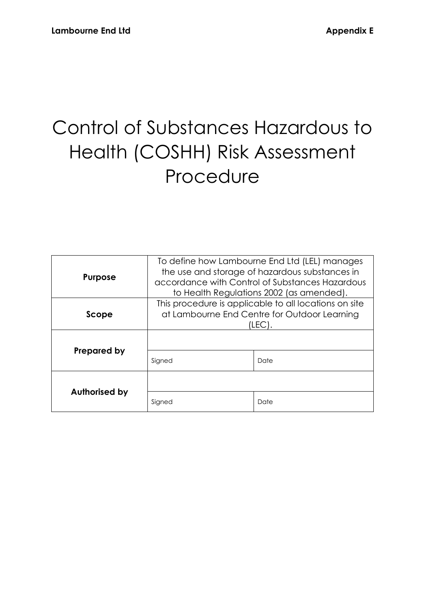# Control of Substances Hazardous to Health (COSHH) Risk Assessment Procedure

| <b>Purpose</b>       | To define how Lambourne End Ltd (LEL) manages<br>the use and storage of hazardous substances in<br>accordance with Control of Substances Hazardous<br>to Health Regulations 2002 (as amended). |      |
|----------------------|------------------------------------------------------------------------------------------------------------------------------------------------------------------------------------------------|------|
| Scope                | This procedure is applicable to all locations on site<br>at Lambourne End Centre for Outdoor Learning<br>(LEC)                                                                                 |      |
| Prepared by          |                                                                                                                                                                                                |      |
|                      | Signed                                                                                                                                                                                         | Date |
| <b>Authorised by</b> |                                                                                                                                                                                                |      |
|                      | Signed                                                                                                                                                                                         | Date |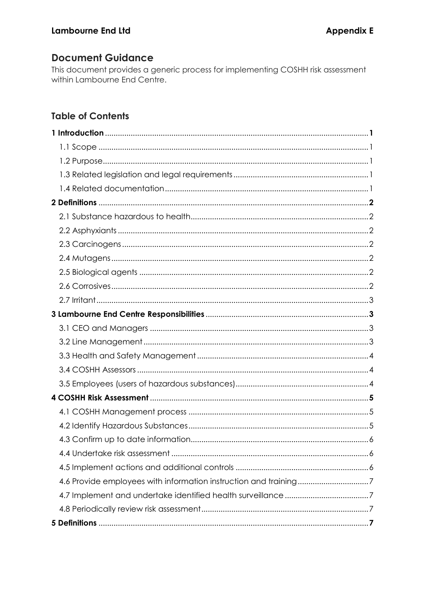# **Document Guidance**

This document provides a generic process for implementing COSHH risk assessment within Lambourne End Centre.

# **Table of Contents**

| 4.6 Provide employees with information instruction and training7 |  |
|------------------------------------------------------------------|--|
|                                                                  |  |
|                                                                  |  |
|                                                                  |  |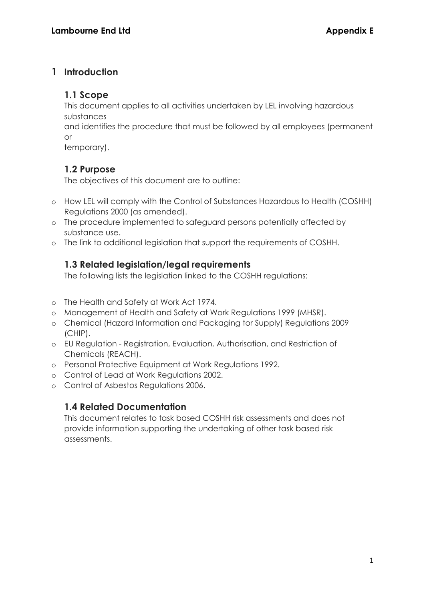# **1 Introduction**

#### **1.1 Scope**

This document applies to all activities undertaken by LEL involving hazardous substances

and identifies the procedure that must be followed by all employees (permanent or

temporary).

# **1.2 Purpose**

The objectives of this document are to outline:

- o How LEL will comply with the Control of Substances Hazardous to Health (COSHH) Regulations 2000 (as amended).
- o The procedure implemented to safeguard persons potentially affected by substance use.
- o The link to additional legislation that support the requirements of COSHH.

# **1.3 Related legislation/legal requirements**

The following lists the legislation linked to the COSHH regulations:

- o The Health and Safety at Work Act 1974.
- o Management of Health and Safety at Work Regulations 1999 (MHSR).
- o Chemical (Hazard Information and Packaging tor Supply) Regulations 2009 (CHIP).
- o EU Regulation Registration, Evaluation, Authorisation, and Restriction of Chemicals (REACH).
- o Personal Protective Equipment at Work Regulations 1992.
- o Control of Lead at Work Regulations 2002.
- o Control of Asbestos Regulations 2006.

# **1.4 Related Documentation**

This document relates to task based COSHH risk assessments and does not provide information supporting the undertaking of other task based risk assessments.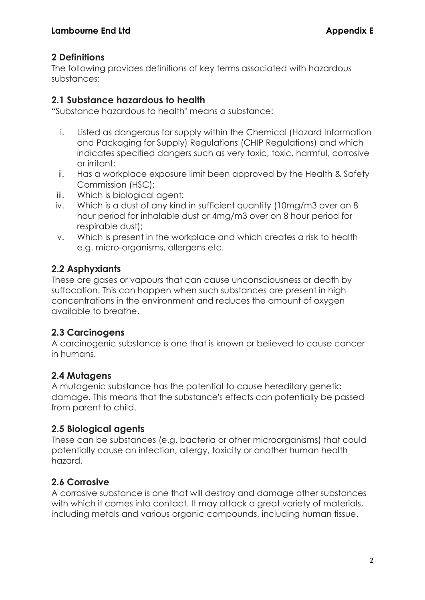# **2 Definitions**

The following provides definitions of key terms associated with hazardous substances:

#### **2.1 Substance hazardous to health**

"Substance hazardous to health" means a substance:

- i. Listed as dangerous for supply within the Chemical (Hazard Information and Packaging for Supply) Regulations (CHIP Regulations) and which indicates specified dangers such as very toxic, toxic, harmful, corrosive or irritant;
- ii. Has a workplace exposure limit been approved by the Health & Safety Commission (HSC);
- iii. Which is biological agent:
- iv. Which is a dust of any kind in sufficient quantity (10mg/m3 over an 8 hour period for inhalable dust or 4mg/m3 over on 8 hour period for respirable dust);
- v. Which is present in the workplace and which creates a risk to health e.g. micro-organisms, allergens etc.

# **2.2 Asphyxiants**

These are gases or vapours that can cause unconsciousness or death by suffocation. This can happen when such substances are present in high concentrations in the environment and reduces the amount of oxygen available to breathe.

# **2.3 Carcinogens**

A carcinogenic substance is one that is known or believed to cause cancer in humans.

# **2.4 Mutagens**

A mutagenic substance has the potential to cause hereditary genetic damage. This means that the substance's effects can potentially be passed from parent to child.

# **2.5 Biological agents**

These can be substances (e.g. bacteria or other microorganisms) that could potentially cause an infection, allergy, toxicity or another human health hazard.

# **2.6 Corrosive**

A corrosive substance is one that will destroy and damage other substances with which it comes into contact. It may attack a great variety of materials, including metals and various organic compounds, including human tissue.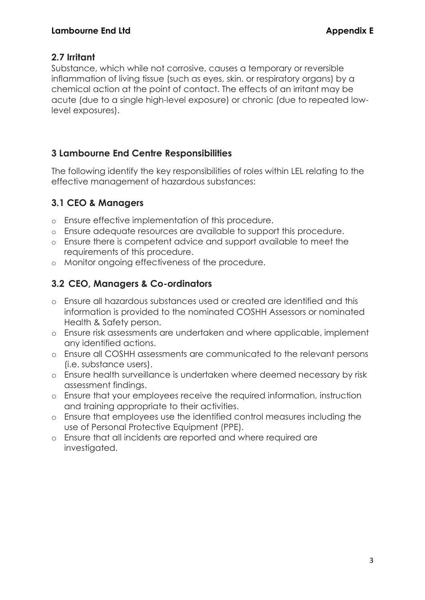#### **2.7 Irritant**

Substance, which while not corrosive, causes a temporary or reversible inflammation of living tissue (such as eyes, skin. or respiratory organs) by a chemical action at the point of contact. The effects of an irritant may be acute (due to a single high-level exposure) or chronic (due to repeated lowlevel exposures).

# **3 Lambourne End Centre Responsibilities**

The following identify the key responsibilities of roles within LEL relating to the effective management of hazardous substances:

# **3.1 CEO & Managers**

- o Ensure effective implementation of this procedure.
- o Ensure adequate resources are available to support this procedure.
- o Ensure there is competent advice and support available to meet the requirements of this procedure.
- o Monitor ongoing effectiveness of the procedure.

# **3.2 CEO, Managers & Co-ordinators**

- o Ensure all hazardous substances used or created are identified and this information is provided to the nominated COSHH Assessors or nominated Health & Safety person.
- o Ensure risk assessments are undertaken and where applicable, implement any identified actions.
- o Ensure all COSHH assessments are communicated to the relevant persons (i.e. substance users).
- o Ensure health surveillance is undertaken where deemed necessary by risk assessment findings.
- o Ensure that your employees receive the required information, instruction and training appropriate to their activities.
- o Ensure that employees use the identified control measures including the use of Personal Protective Equipment (PPE).
- o Ensure that all incidents are reported and where required are investigated.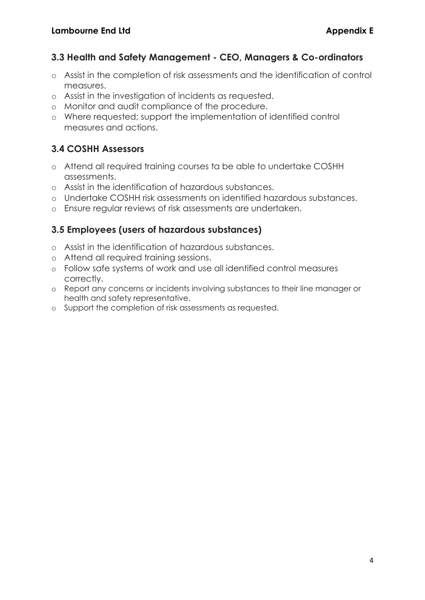#### **3.3 Health and Safety Management - CEO, Managers & Co-ordinators**

- o Assist in the completion of risk assessments and the identification of control measures.
- o Assist in the investigation of incidents as requested.
- o Monitor and audit compliance of the procedure.
- o Where requested; support the implementation of identified control measures and actions.

# **3.4 COSHH Assessors**

- o Attend all required training courses ta be able to undertake COSHH assessments.
- o Assist in the identification of hazardous substances.
- o Undertake COSHH risk assessments on identified hazardous substances.
- o Ensure regular reviews of risk assessments are undertaken.

# **3.5 Employees (users of hazardous substances)**

- o Assist in the identification of hazardous substances.
- o Attend all required training sessions.
- o Follow safe systems of work and use all identified control measures correctly.
- o Report any concerns or incidents involving substances to their line manager or health and safety representative.
- o Support the completion of risk assessments as requested.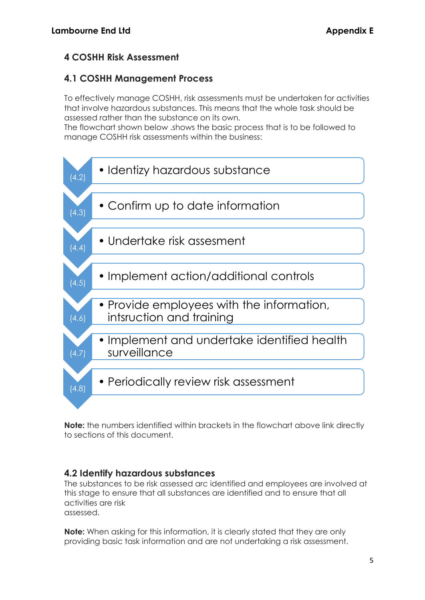# **4 COSHH Risk Assessment**

# **4.1 COSHH Management Process**

To effectively manage COSHH, risk assessments must be undertaken for activities that involve hazardous substances. This means that the whole task should be assessed rather than the substance on its own.

The flowchart shown below .shows the basic process that is to be followed to manage COSHH risk assessments within the business:



**Note:** the numbers identified within brackets in the flowchart above link directly to sections of this document.

# **4.2 Identify hazardous substances**

The substances to be risk assessed arc identified and employees are involved at this stage to ensure that all substances are identified and to ensure that all activities are risk assessed.

**Note:** When asking for this information, it is clearly stated that they are only providing basic task information and are not undertaking a risk assessment.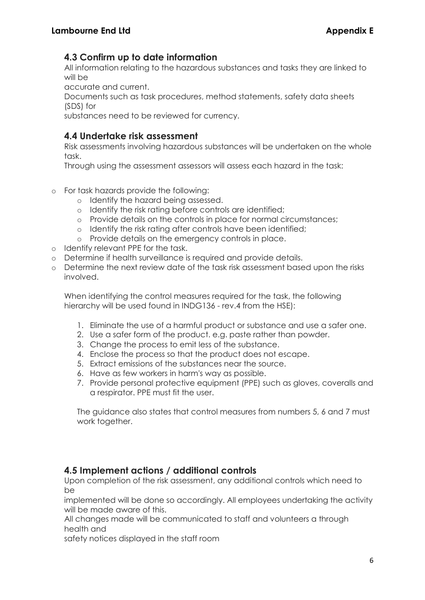#### **4.3 Confirm up to date information**

All information relating to the hazardous substances and tasks they are linked to will be

accurate and current.

Documents such as task procedures, method statements, safety data sheets (SDS) for

substances need to be reviewed for currency.

#### **4.4 Undertake risk assessment**

Risk assessments involving hazardous substances will be undertaken on the whole task.

Through using the assessment assessors will assess each hazard in the task:

- o For task hazards provide the following:
	- o Identify the hazard being assessed.
	- o Identify the risk rating before controls are identified;
	- o Provide details on the controls in place for normal circumstances;
	- o Identify the risk rating after controls have been identified;
	- o Provide details on the emergency controls in place.
- o Identify relevant PPE for the task.
- o Determine if health surveillance is required and provide details.
- o Determine the next review date of the task risk assessment based upon the risks involved.

When identifying the control measures required for the task, the following hierarchy will be used found in INDG136 - rev.4 from the HSE):

- 1. Eliminate the use of a harmful product or substance and use a safer one.
- 2. Use a safer form of the product. e.g. paste rather than powder.
- 3. Change the process to emit less of the substance.
- 4. Enclose the process so that the product does not escape.
- 5. Extract emissions of the substances near the source.
- 6. Have as few workers in harm's way as possible.
- 7. Provide personal protective equipment (PPE) such as gloves, coveralls and a respirator. PPE must fit the user.

The guidance also states that control measures from numbers 5, 6 and 7 must work together.

#### **4.5 Implement actions / additional controls**

Upon completion of the risk assessment, any additional controls which need to be

implemented will be done so accordingly. All employees undertaking the activity will be made aware of this.

All changes made will be communicated to staff and volunteers a through health and

safety notices displayed in the staff room